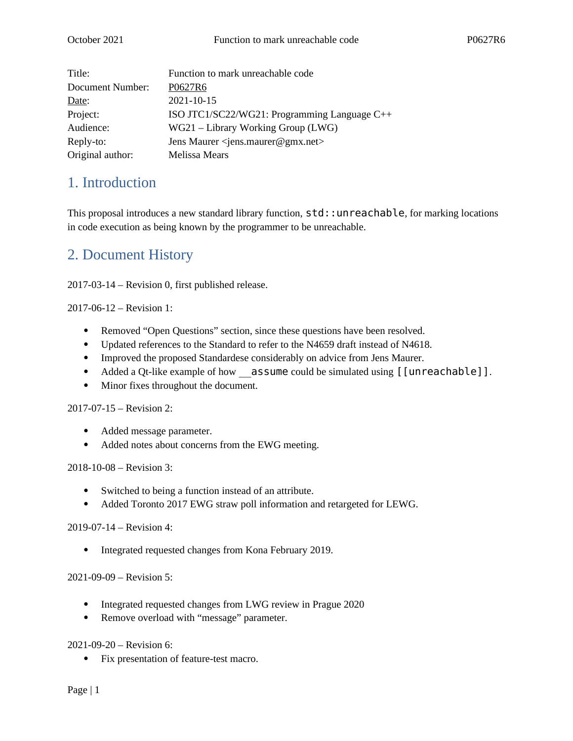| Title:           | Function to mark unreachable code                       |
|------------------|---------------------------------------------------------|
| Document Number: | P0627R6                                                 |
| Date:            | 2021-10-15                                              |
| Project:         | ISO JTC1/SC22/WG21: Programming Language C++            |
| Audience:        | $WG21 - Library Working Group (LWG)$                    |
| Reply-to:        | Jens Maurer <jens.maurer@gmx.net></jens.maurer@gmx.net> |
| Original author: | Melissa Mears                                           |

### 1. Introduction

This proposal introduces a new standard library function,  $std:$ : unreachable, for marking locations in code execution as being known by the programmer to be unreachable.

## 2. Document History

2017-03-14 – Revision 0, first published release.

2017-06-12 – Revision 1:

- Removed "Open Questions" section, since these questions have been resolved.
- Updated references to the Standard to refer to the N4659 draft instead of N4618.
- Improved the proposed Standardese considerably on advice from Jens Maurer.
- Added a Qt-like example of how assume could be simulated using [[unreachable]].
- Minor fixes throughout the document.

2017-07-15 – Revision 2:

- Added message parameter.
- Added notes about concerns from the EWG meeting.

2018-10-08 – Revision 3:

- Switched to being a function instead of an attribute.
- Added Toronto 2017 EWG straw poll information and retargeted for LEWG.

2019-07-14 – Revision 4:

• Integrated requested changes from Kona February 2019.

2021-09-09 – Revision 5:

- Integrated requested changes from LWG review in Prague 2020
- Remove overload with "message" parameter.

2021-09-20 – Revision 6:

Fix presentation of feature-test macro.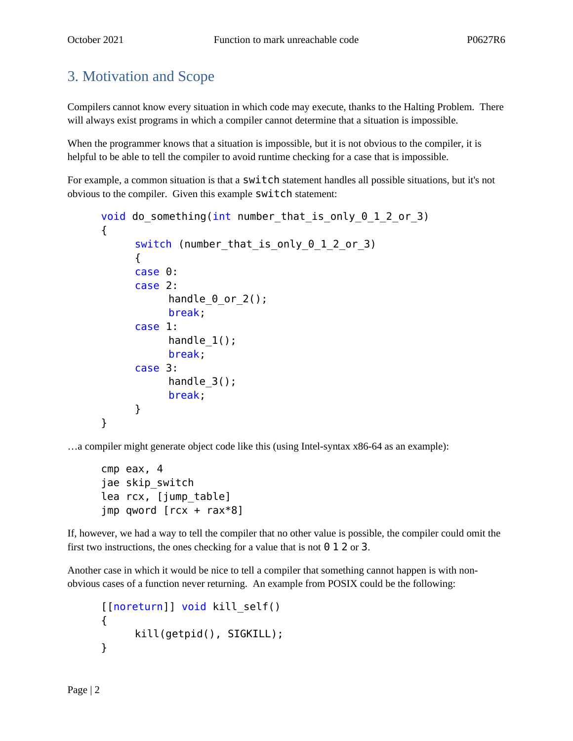# 3. Motivation and Scope

Compilers cannot know every situation in which code may execute, thanks to the Halting Problem. There will always exist programs in which a compiler cannot determine that a situation is impossible.

When the programmer knows that a situation is impossible, but it is not obvious to the compiler, it is helpful to be able to tell the compiler to avoid runtime checking for a case that is impossible.

For example, a common situation is that a  $\textsf{switch}$  statement handles all possible situations, but it's not obvious to the compiler. Given this example switch statement:

```
void do something(int number_that_is_only_0_1_2_or_3)
{
     switch (number that is only 0 1 2 or 3)
     {
     case 0:
     case 2:
           handle 0 or 2();
           break;
     case 1:
           handle 1();
           break;
     case 3:
           handle 3();
           break;
     }
}
```
…a compiler might generate object code like this (using Intel-syntax x86-64 as an example):

```
cmp eax, 4
jae skip_switch
lea rcx, [jump_table]
jmp qword [rcx + rax*8]
```
If, however, we had a way to tell the compiler that no other value is possible, the compiler could omit the first two instructions, the ones checking for a value that is not  $\theta$  1 2 or 3.

Another case in which it would be nice to tell a compiler that something cannot happen is with nonobvious cases of a function never returning. An example from POSIX could be the following:

```
[[noreturn]] void kill_self()
{
     kill(getpid(), SIGKILL);
}
```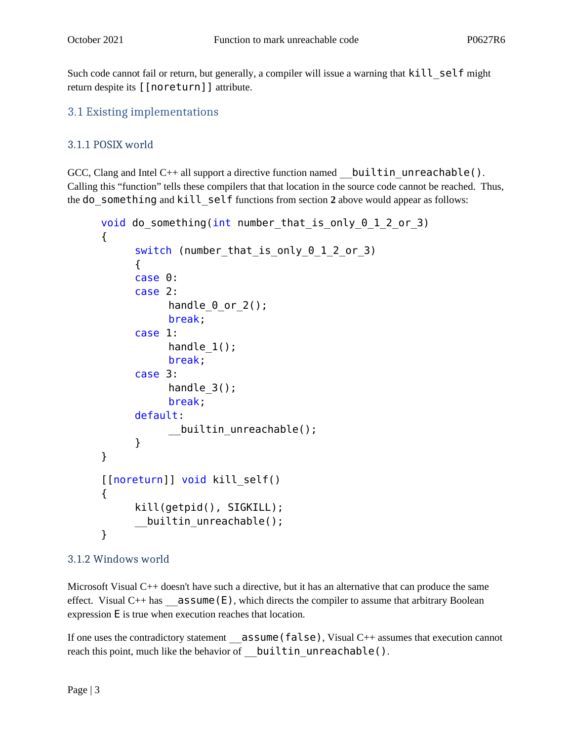Such code cannot fail or return, but generally, a compiler will issue a warning that kill self might return despite its [[noreturn]] attribute.

### 3.1 Existing implementations

#### 3.1.1 POSIX world

GCC, Clang and Intel C++ all support a directive function named builtin unreachable(). Calling this "function" tells these compilers that that location in the source code cannot be reached. Thus, the do\_something and kill\_self functions from section **2** above would appear as follows:

```
void do something(int number that is only 0\ 1\ 2\ or 3)
{
     switch (number that is only 0 1 2 or 3)
     {
     case 0:
     case 2:
           handle \theta or 2();
           break;
     case 1:
           handle 1();
           break;
     case 3:
           handle_3();
           break;
     default:
           __builtin_unreachable();
     }
}
[[noreturn]] void kill_self()
{
     kill(getpid(), SIGKILL);
     __builtin_unreachable();
}
```
#### 3.1.2 Windows world

Microsoft Visual C++ doesn't have such a directive, but it has an alternative that can produce the same effect. Visual  $C++$  has  $\_\_$ **assume (E)**, which directs the compiler to assume that arbitrary Boolean expression E is true when execution reaches that location.

If one uses the contradictory statement \_\_assume(false), Visual C++ assumes that execution cannot reach this point, much like the behavior of builtin unreachable().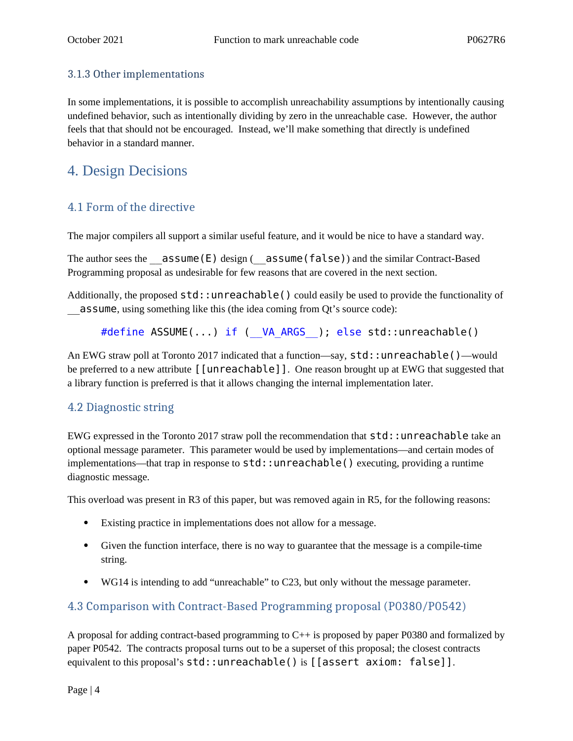#### 3.1.3 Other implementations

In some implementations, it is possible to accomplish unreachability assumptions by intentionally causing undefined behavior, such as intentionally dividing by zero in the unreachable case. However, the author feels that that should not be encouraged. Instead, we'll make something that directly is undefined behavior in a standard manner.

### 4. Design Decisions

### 4.1 Form of the directive

The major compilers all support a similar useful feature, and it would be nice to have a standard way.

The author sees the  $\overline{\mathsf{assume}}(E)$  design ( $\overline{\mathsf{assume}}(false)$ ) and the similar Contract-Based Programming proposal as undesirable for few reasons that are covered in the next section.

Additionally, the proposed std::unreachable() could easily be used to provide the functionality of \_\_assume, using something like this (the idea coming from Qt's source code):

#define ASSUME(...) if ( VA ARGS ); else std::unreachable()

An EWG straw poll at Toronto 2017 indicated that a function—say, std::unreachable()—would be preferred to a new attribute [[unreachable]]. One reason brought up at EWG that suggested that a library function is preferred is that it allows changing the internal implementation later.

#### 4.2 Diagnostic string

EWG expressed in the Toronto 2017 straw poll the recommendation that std::unreachable take an optional message parameter. This parameter would be used by implementations—and certain modes of implementations—that trap in response to  $std:$ : un reachable() executing, providing a runtime diagnostic message.

This overload was present in R3 of this paper, but was removed again in R5, for the following reasons:

- Existing practice in implementations does not allow for a message.
- Given the function interface, there is no way to guarantee that the message is a compile-time string.
- WG14 is intending to add "unreachable" to C23, but only without the message parameter.

#### 4.3 Comparison with Contract-Based Programming proposal (P0380/P0542)

A proposal for adding contract-based programming to C++ is proposed by paper P0380 and formalized by paper P0542. The contracts proposal turns out to be a superset of this proposal; the closest contracts equivalent to this proposal's std::unreachable() is [[assert axiom: false]].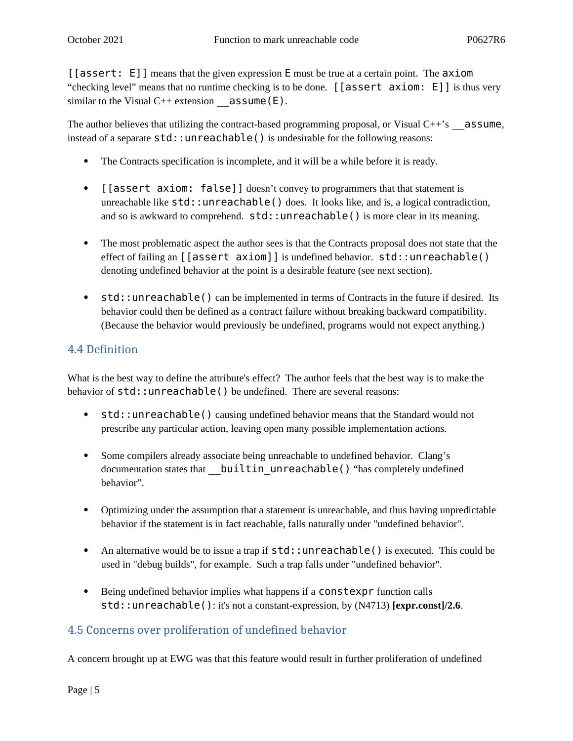[[assert: E]] means that the given expression E must be true at a certain point. The axiom "checking level" means that no runtime checking is to be done. [[assert axiom: E]] is thus very similar to the Visual  $C^{++}$  extension  $\qquad$  assume (E).

The author believes that utilizing the contract-based programming proposal, or Visual  $C++\text{'s}$  assume, instead of a separate  $std:$ : unreachable() is undesirable for the following reasons:

- The Contracts specification is incomplete, and it will be a while before it is ready.
- [[assert axiom: false]] doesn't convey to programmers that that statement is unreachable like  $std:$ : unreachable() does. It looks like, and is, a logical contradiction, and so is awkward to comprehend.  $std:$ : unreachable() is more clear in its meaning.
- The most problematic aspect the author sees is that the Contracts proposal does not state that the effect of failing an [[assert axiom]] is undefined behavior. std::unreachable() denoting undefined behavior at the point is a desirable feature (see next section).
- std::unreachable() can be implemented in terms of Contracts in the future if desired. Its behavior could then be defined as a contract failure without breaking backward compatibility. (Because the behavior would previously be undefined, programs would not expect anything.)

### 4.4 Definition

What is the best way to define the attribute's effect? The author feels that the best way is to make the behavior of  $std:$ : unreachable() be undefined. There are several reasons:

- std::unreachable() causing undefined behavior means that the Standard would not prescribe any particular action, leaving open many possible implementation actions.
- Some compilers already associate being unreachable to undefined behavior. Clang's documentation states that **\_\_builtin\_unreachable()** "has completely undefined behavior".
- Optimizing under the assumption that a statement is unreachable, and thus having unpredictable behavior if the statement is in fact reachable, falls naturally under "undefined behavior".
- An alternative would be to issue a trap if  $std:$ : unreachable() is executed. This could be used in "debug builds", for example. Such a trap falls under "undefined behavior".
- Being undefined behavior implies what happens if a **constexpr** function calls std::unreachable(): it's not a constant-expression, by (N4713) **[expr.const]/2.6**.

### 4.5 Concerns over proliferation of undefined behavior

A concern brought up at EWG was that this feature would result in further proliferation of undefined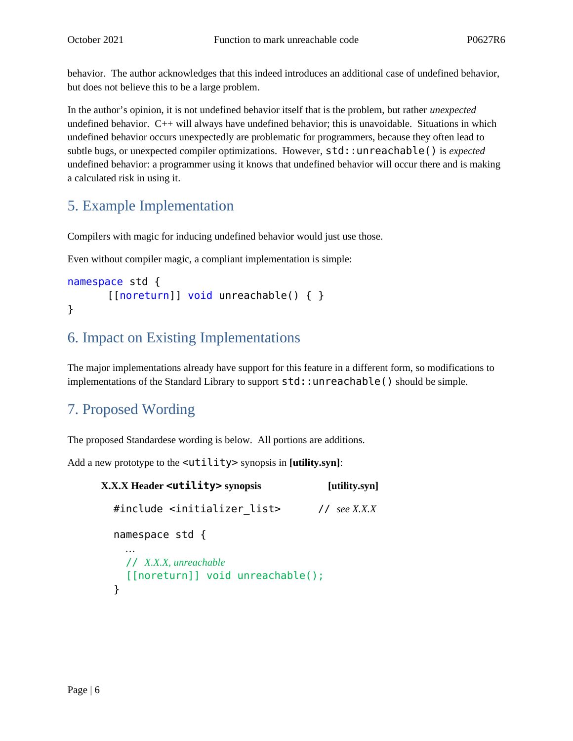behavior. The author acknowledges that this indeed introduces an additional case of undefined behavior, but does not believe this to be a large problem.

In the author's opinion, it is not undefined behavior itself that is the problem, but rather *unexpected* undefined behavior. C++ will always have undefined behavior; this is unavoidable. Situations in which undefined behavior occurs unexpectedly are problematic for programmers, because they often lead to subtle bugs, or unexpected compiler optimizations. However, std::unreachable() is *expected* undefined behavior: a programmer using it knows that undefined behavior will occur there and is making a calculated risk in using it.

## 5. Example Implementation

Compilers with magic for inducing undefined behavior would just use those.

Even without compiler magic, a compliant implementation is simple:

```
namespace std {
        [[noreturn]] void unreachable() { }
}
```
## 6. Impact on Existing Implementations

The major implementations already have support for this feature in a different form, so modifications to implementations of the Standard Library to support  $std:$ : unreachable() should be simple.

## 7. Proposed Wording

The proposed Standardese wording is below. All portions are additions.

Add a new prototype to the <utility> synopsis in **[utility.syn]**:

```
X.X.X Header <utility> synopsis [utility.syn]
   #include <initializer_list> // see X.X.X
   namespace std {
     …
     // X.X.X, unreachable
     [[noreturn]] void unreachable();
   }
```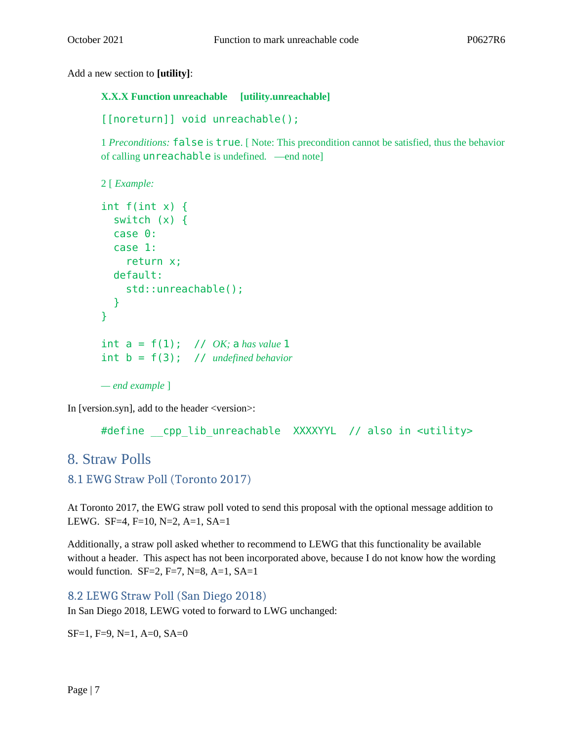Add a new section to **[utility]**:

**X.X.X Function unreachable [utility.unreachable]**

```
[[noreturn]] void unreachable();
```
1 *Preconditions:* false is true. [ Note: This precondition cannot be satisfied, thus the behavior of calling unreachable is undefined. —end note]

```
2 [ Example:
```

```
int f(int x) {
   switch (x) {
   case 0:
   case 1:
     return x;
   default:
     std::unreachable();
   }
} 
int a = f(1); // OK; a has value 1
int b = f(3); // undefined behavior
— end example ]
```
In [version.syn], add to the header <version>:

```
#define cpp lib unreachable XXXXYYL // also in <utility>
```
### 8. Straw Polls

```
8.1 EWG Straw Poll (Toronto 2017)
```
At Toronto 2017, the EWG straw poll voted to send this proposal with the optional message addition to LEWG. SF=4, F=10, N=2, A=1, SA=1

Additionally, a straw poll asked whether to recommend to LEWG that this functionality be available without a header. This aspect has not been incorporated above, because I do not know how the wording would function. SF=2, F=7, N=8, A=1, SA=1

8.2 LEWG Straw Poll (San Diego 2018)

In San Diego 2018, LEWG voted to forward to LWG unchanged:

SF=1, F=9, N=1, A=0, SA=0